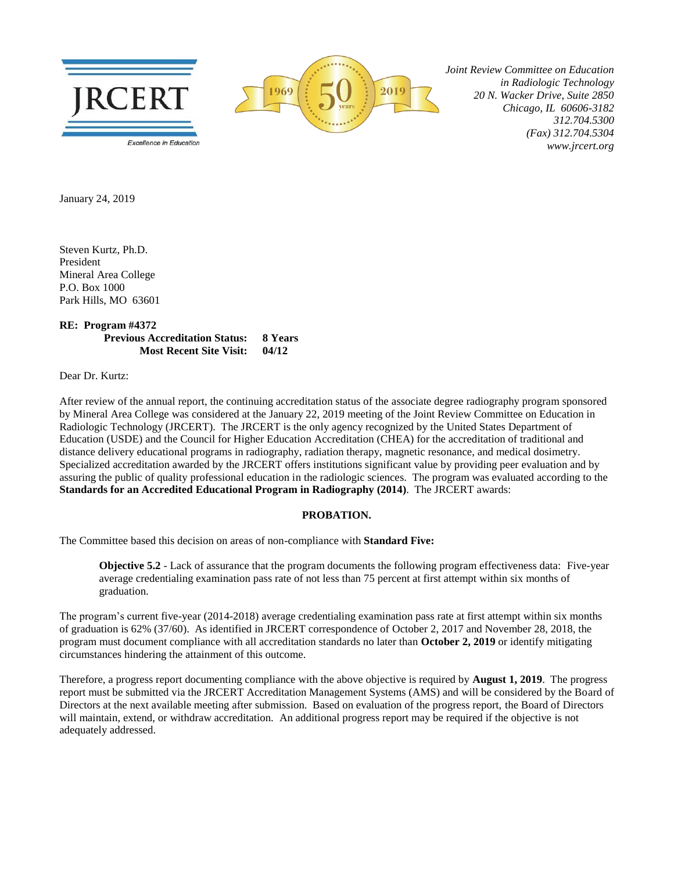



 *Joint Review Committee on Education in Radiologic Technology 20 N. Wacker Drive, Suite 2850 Chicago, IL 60606-3182 312.704.5300 (Fax) 312.704.5304 www.jrcert.org*

January 24, 2019

Steven Kurtz, Ph.D. President Mineral Area College P.O. Box 1000 Park Hills, MO 63601

**RE: Program #4372 Previous Accreditation Status: 8 Years Most Recent Site Visit: 04/12**

Dear Dr. Kurtz:

After review of the annual report, the continuing accreditation status of the associate degree radiography program sponsored by Mineral Area College was considered at the January 22, 2019 meeting of the Joint Review Committee on Education in Radiologic Technology (JRCERT). The JRCERT is the only agency recognized by the United States Department of Education (USDE) and the Council for Higher Education Accreditation (CHEA) for the accreditation of traditional and distance delivery educational programs in radiography, radiation therapy, magnetic resonance, and medical dosimetry. Specialized accreditation awarded by the JRCERT offers institutions significant value by providing peer evaluation and by assuring the public of quality professional education in the radiologic sciences. The program was evaluated according to the **Standards for an Accredited Educational Program in Radiography (2014)**. The JRCERT awards:

## **PROBATION.**

The Committee based this decision on areas of non-compliance with **Standard Five:**

**Objective 5.2** - Lack of assurance that the program documents the following program effectiveness data: Five-year average credentialing examination pass rate of not less than 75 percent at first attempt within six months of graduation.

The program's current five-year (2014-2018) average credentialing examination pass rate at first attempt within six months of graduation is 62% (37/60). As identified in JRCERT correspondence of October 2, 2017 and November 28, 2018, the program must document compliance with all accreditation standards no later than **October 2, 2019** or identify mitigating circumstances hindering the attainment of this outcome.

Therefore, a progress report documenting compliance with the above objective is required by **August 1, 2019**. The progress report must be submitted via the JRCERT Accreditation Management Systems (AMS) and will be considered by the Board of Directors at the next available meeting after submission. Based on evaluation of the progress report, the Board of Directors will maintain, extend, or withdraw accreditation. An additional progress report may be required if the objective is not adequately addressed.